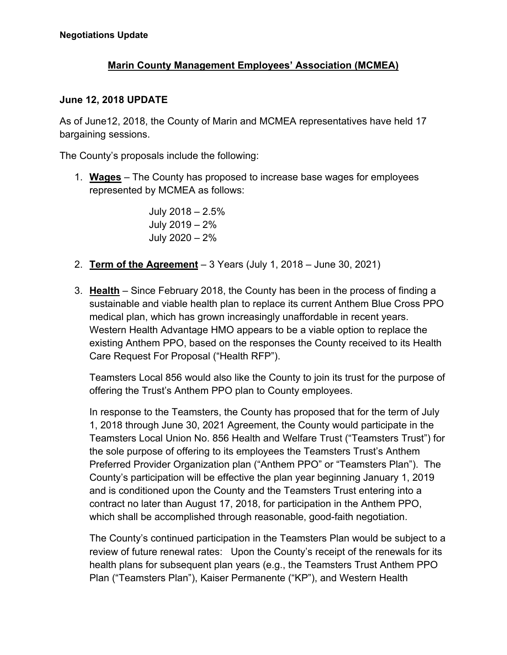## **Marin County Management Employees' Association (MCMEA)**

## **June 12, 2018 UPDATE**

As of June12, 2018, the County of Marin and MCMEA representatives have held 17 bargaining sessions.

The County's proposals include the following:

1. **Wages** – The County has proposed to increase base wages for employees represented by MCMEA as follows:

> July 2018 – 2.5% July 2019 – 2% July 2020 – 2%

- 2. **Term of the Agreement** 3 Years (July 1, 2018 June 30, 2021)
- 3. **Health** Since February 2018, the County has been in the process of finding a sustainable and viable health plan to replace its current Anthem Blue Cross PPO medical plan, which has grown increasingly unaffordable in recent years. Western Health Advantage HMO appears to be a viable option to replace the existing Anthem PPO, based on the responses the County received to its Health Care Request For Proposal ("Health RFP").

Teamsters Local 856 would also like the County to join its trust for the purpose of offering the Trust's Anthem PPO plan to County employees.

In response to the Teamsters, the County has proposed that for the term of July 1, 2018 through June 30, 2021 Agreement, the County would participate in the Teamsters Local Union No. 856 Health and Welfare Trust ("Teamsters Trust") for the sole purpose of offering to its employees the Teamsters Trust's Anthem Preferred Provider Organization plan ("Anthem PPO" or "Teamsters Plan"). The County's participation will be effective the plan year beginning January 1, 2019 and is conditioned upon the County and the Teamsters Trust entering into a contract no later than August 17, 2018, for participation in the Anthem PPO, which shall be accomplished through reasonable, good-faith negotiation.

The County's continued participation in the Teamsters Plan would be subject to a review of future renewal rates: Upon the County's receipt of the renewals for its health plans for subsequent plan years (e.g., the Teamsters Trust Anthem PPO Plan ("Teamsters Plan"), Kaiser Permanente ("KP"), and Western Health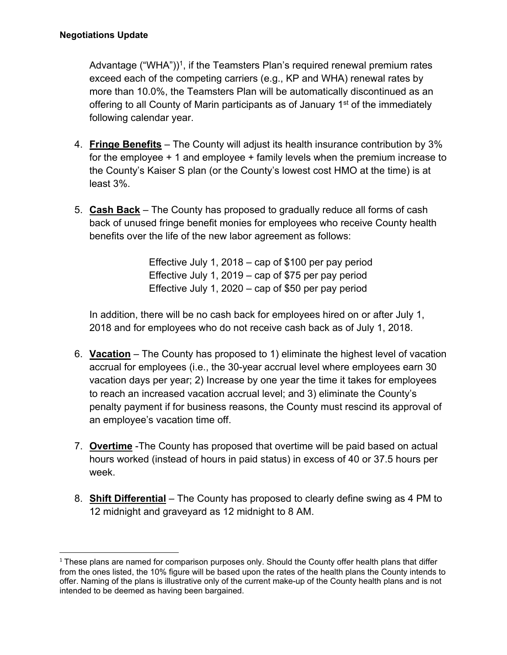Advantage ("WHA"))<sup>1</sup>, if the Teamsters Plan's required renewal premium rates exceed each of the competing carriers (e.g., KP and WHA) renewal rates by more than 10.0%, the Teamsters Plan will be automatically discontinued as an offering to all County of Marin participants as of January 1<sup>st</sup> of the immediately following calendar year.

- 4. **Fringe Benefits** The County will adjust its health insurance contribution by 3% for the employee + 1 and employee + family levels when the premium increase to the County's Kaiser S plan (or the County's lowest cost HMO at the time) is at least 3%.
- 5. **Cash Back** The County has proposed to gradually reduce all forms of cash back of unused fringe benefit monies for employees who receive County health benefits over the life of the new labor agreement as follows:

Effective July 1, 2018 – cap of \$100 per pay period Effective July 1, 2019 – cap of \$75 per pay period Effective July 1, 2020 – cap of \$50 per pay period

In addition, there will be no cash back for employees hired on or after July 1, 2018 and for employees who do not receive cash back as of July 1, 2018.

- 6. **Vacation** The County has proposed to 1) eliminate the highest level of vacation accrual for employees (i.e., the 30-year accrual level where employees earn 30 vacation days per year; 2) Increase by one year the time it takes for employees to reach an increased vacation accrual level; and 3) eliminate the County's penalty payment if for business reasons, the County must rescind its approval of an employee's vacation time off.
- 7. **Overtime** -The County has proposed that overtime will be paid based on actual hours worked (instead of hours in paid status) in excess of 40 or 37.5 hours per week.
- 8. **Shift Differential** The County has proposed to clearly define swing as 4 PM to 12 midnight and graveyard as 12 midnight to 8 AM.

  $1$  These plans are named for comparison purposes only. Should the County offer health plans that differ from the ones listed, the 10% figure will be based upon the rates of the health plans the County intends to offer. Naming of the plans is illustrative only of the current make-up of the County health plans and is not intended to be deemed as having been bargained.